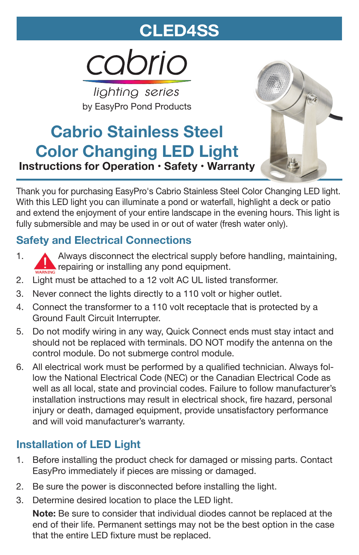# **CLED4SS**

cabrio

*lighting series* by EasyPro Pond Products

# **Cabrio Stainless Steel Color Changing LED Light Instructions for Operation • Safety • Warranty**



Thank you for purchasing EasyPro's Cabrio Stainless Steel Color Changing LED light. With this LED light you can illuminate a pond or waterfall, highlight a deck or patio and extend the enjoyment of your entire landscape in the evening hours. This light is fully submersible and may be used in or out of water (fresh water only).

# **Safety and Electrical Connections**

- 1. Always disconnect the electrical supply before handling, maintaining, repairing or installing any pond equipment.
- 2. Light must be attached to a 12 volt AC UL listed transformer.
- 3. Never connect the lights directly to a 110 volt or higher outlet.
- 4. Connect the transformer to a 110 volt receptacle that is protected by a Ground Fault Circuit Interrupter.
- 5. Do not modify wiring in any way, Quick Connect ends must stay intact and should not be replaced with terminals. DO NOT modify the antenna on the control module. Do not submerge control module.
- 6. All electrical work must be performed by a qualified technician. Always follow the National Electrical Code (NEC) or the Canadian Electrical Code as well as all local, state and provincial codes. Failure to follow manufacturer's installation instructions may result in electrical shock, fire hazard, personal injury or death, damaged equipment, provide unsatisfactory performance and will void manufacturer's warranty.

## **Installation of LED Light**

- 1. Before installing the product check for damaged or missing parts. Contact EasyPro immediately if pieces are missing or damaged.
- 2. Be sure the power is disconnected before installing the light.
- 3. Determine desired location to place the LED light.

**Note:** Be sure to consider that individual diodes cannot be replaced at the end of their life. Permanent settings may not be the best option in the case that the entire LED fixture must be replaced.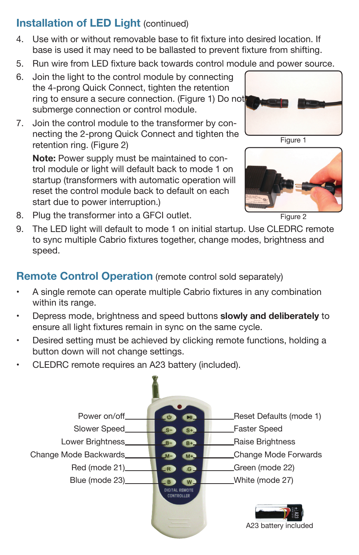## **Installation of LED Light (continued)**

- 4. Use with or without removable base to fit fixture into desired location. If base is used it may need to be ballasted to prevent fixture from shifting.
- 5. Run wire from LED fixture back towards control module and power source.
- 6. Join the light to the control module by connecting the 4-prong Quick Connect, tighten the retention ring to ensure a secure connection. (Figure 1) Do not submerge connection or control module.
- 7. Join the control module to the transformer by connecting the 2-prong Quick Connect and tighten the retention ring. (Figure 2)

**Note:** Power supply must be maintained to control module or light will default back to mode 1 on startup (transformers with automatic operation will reset the control module back to default on each start due to power interruption.)





Figure 2

- 8. Plug the transformer into a GFCI outlet.
- 9. The LED light will default to mode 1 on initial startup. Use CLEDRC remote to sync multiple Cabrio fixtures together, change modes, brightness and speed.

#### **Remote Control Operation** (remote control sold separately)

- • A single remote can operate multiple Cabrio fixtures in any combination within its range.
- • Depress mode, brightness and speed buttons **slowly and deliberately** to ensure all light fixtures remain in sync on the same cycle.
- • Desired setting must be achieved by clicking remote functions, holding a button down will not change settings.
- •CLEDRC remote requires an A23 battery (included).

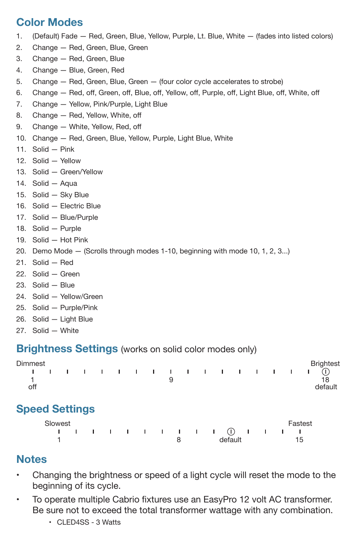#### **Color Modes**

- 1. (Default) Fade Red, Green, Blue, Yellow, Purple, Lt. Blue, White (fades into listed colors)
- 2. Change Red, Green, Blue, Green
- 3. Change Red, Green, Blue
- 4. Change Blue, Green, Red
- 5. Change Red, Green, Blue, Green (four color cycle accelerates to strobe)
- 6. Change Red, off, Green, off, Blue, off, Yellow, off, Purple, off, Light Blue, off, White, off
- 7. Change Yellow, Pink/Purple, Light Blue
- 8. Change Red, Yellow, White, off
- 9. Change White, Yellow, Red, off
- 10. Change Red, Green, Blue, Yellow, Purple, Light Blue, White
- 11. Solid Pink
- 12. Solid Yellow
- 13. Solid Green/Yellow
- 14. Solid Aqua
- 15. Solid Sky Blue
- 16. Solid Electric Blue
- 17. Solid Blue/Purple
- 18. Solid Purple
- 19. Solid Hot Pink
- 20. Demo Mode (Scrolls through modes 1-10, beginning with mode 10, 1, 2, 3...)
- 21. Solid Red
- 22. Solid Green
- 23. Solid Blue
- 24. Solid Yellow/Green
- 25. Solid Purple/Pink
- 26. Solid Light Blue
- 27. Solid White

#### **Brightness Settings** (works on solid color modes only)

| Dimmest |  |  |  |  |  |  |  | <b>Brightest</b> |
|---------|--|--|--|--|--|--|--|------------------|
| off     |  |  |  |  |  |  |  | default          |
|         |  |  |  |  |  |  |  |                  |

#### **Speed Settings**

| Slowest                               |  |  |  |  |  |  |         |  |  |  |  |  | Fastest |
|---------------------------------------|--|--|--|--|--|--|---------|--|--|--|--|--|---------|
| 1 1 1 1 1 1 1 1 1 1 1 1 1 1 1 1 1 1 1 |  |  |  |  |  |  |         |  |  |  |  |  |         |
|                                       |  |  |  |  |  |  | default |  |  |  |  |  |         |

#### **Notes**

- • Changing the brightness or speed of a light cycle will reset the mode to the beginning of its cycle.
- • To operate multiple Cabrio fixtures use an EasyPro 12 volt AC transformer. Be sure not to exceed the total transformer wattage with any combination.
	- CLED4SS 3 Watts